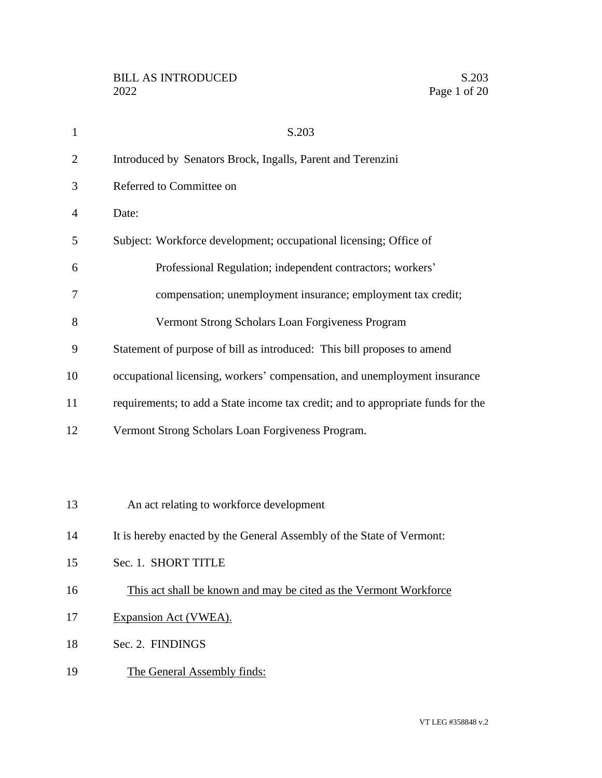| $\mathbf{1}$   | S.203                                                                            |
|----------------|----------------------------------------------------------------------------------|
| $\overline{2}$ | Introduced by Senators Brock, Ingalls, Parent and Terenzini                      |
| 3              | Referred to Committee on                                                         |
| $\overline{4}$ | Date:                                                                            |
| 5              | Subject: Workforce development; occupational licensing; Office of                |
| 6              | Professional Regulation; independent contractors; workers'                       |
| 7              | compensation; unemployment insurance; employment tax credit;                     |
| 8              | Vermont Strong Scholars Loan Forgiveness Program                                 |
| 9              | Statement of purpose of bill as introduced: This bill proposes to amend          |
| 10             | occupational licensing, workers' compensation, and unemployment insurance        |
| 11             | requirements; to add a State income tax credit; and to appropriate funds for the |
| 12             | Vermont Strong Scholars Loan Forgiveness Program.                                |
|                |                                                                                  |
|                |                                                                                  |
| 13             | An act relating to workforce development                                         |
| 14             | It is hereby enacted by the General Assembly of the State of Vermont:            |
| 15             | Sec. 1. SHORT TITLE                                                              |
| 16             | This act shall be known and may be cited as the Vermont Workforce                |
| 17             | Expansion Act (VWEA).                                                            |
| 18             | Sec. 2. FINDINGS                                                                 |
| 19             | The General Assembly finds:                                                      |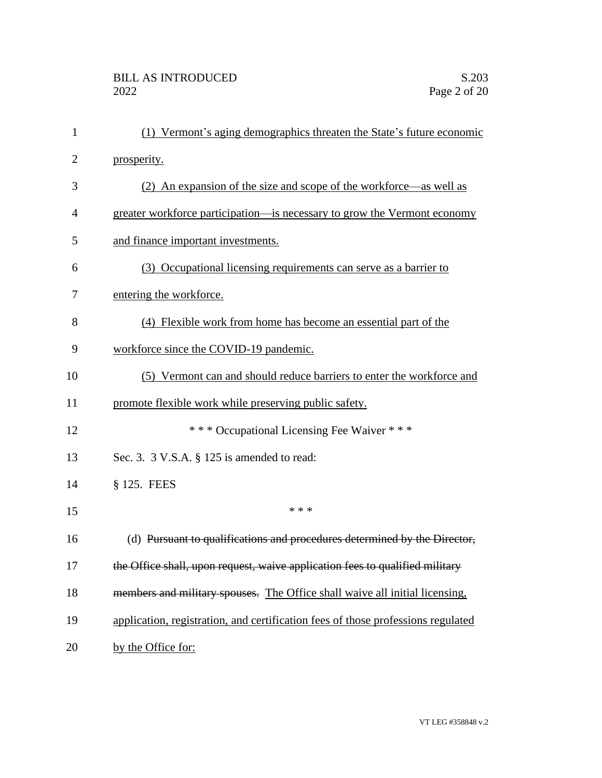| $\mathbf{1}$   | (1) Vermont's aging demographics threaten the State's future economic            |
|----------------|----------------------------------------------------------------------------------|
| $\overline{2}$ | prosperity.                                                                      |
| 3              | (2) An expansion of the size and scope of the workforce—as well as               |
| 4              | greater workforce participation—is necessary to grow the Vermont economy         |
| 5              | and finance important investments.                                               |
| 6              | (3) Occupational licensing requirements can serve as a barrier to                |
| 7              | entering the workforce.                                                          |
| 8              | (4) Flexible work from home has become an essential part of the                  |
| 9              | workforce since the COVID-19 pandemic.                                           |
| 10             | (5) Vermont can and should reduce barriers to enter the workforce and            |
| 11             | promote flexible work while preserving public safety.                            |
| 12             | *** Occupational Licensing Fee Waiver ***                                        |
| 13             | Sec. 3. 3 V.S.A. § 125 is amended to read:                                       |
| 14             | § 125. FEES                                                                      |
| 15             | * * *                                                                            |
| 16             | (d) Pursuant to qualifications and procedures determined by the Director,        |
| 17             | the Office shall, upon request, waive application fees to qualified military     |
| 18             | members and military spouses. The Office shall waive all initial licensing,      |
| 19             | application, registration, and certification fees of those professions regulated |
| 20             | by the Office for:                                                               |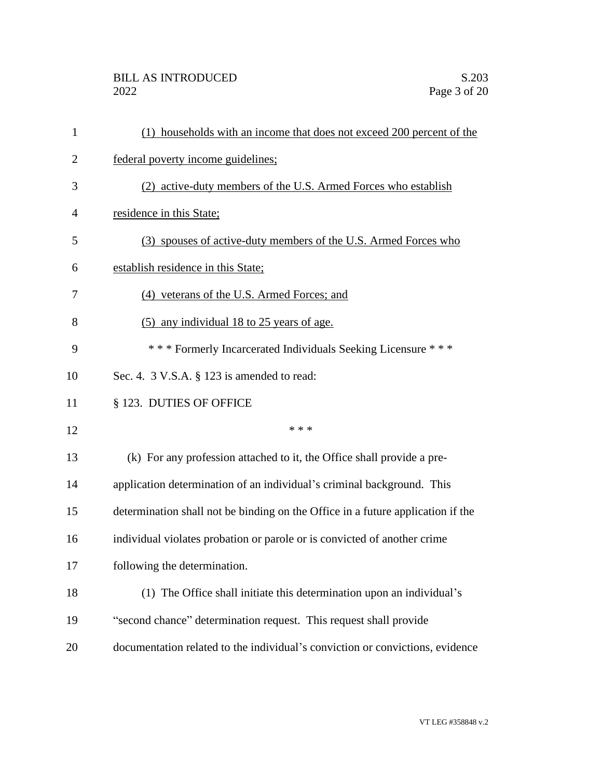## BILL AS INTRODUCED<br>2022 Page 3 of 20

| $\mathbf{1}$   | (1) households with an income that does not exceed 200 percent of the           |
|----------------|---------------------------------------------------------------------------------|
| $\overline{2}$ | federal poverty income guidelines;                                              |
| 3              | (2) active-duty members of the U.S. Armed Forces who establish                  |
| 4              | residence in this State;                                                        |
| 5              | (3) spouses of active-duty members of the U.S. Armed Forces who                 |
| 6              | establish residence in this State;                                              |
| 7              | (4) veterans of the U.S. Armed Forces; and                                      |
| 8              | (5) any individual 18 to 25 years of age.                                       |
| 9              | *** Formerly Incarcerated Individuals Seeking Licensure ***                     |
| 10             | Sec. 4. 3 V.S.A. § 123 is amended to read:                                      |
| 11             | § 123. DUTIES OF OFFICE                                                         |
| 12             | * * *                                                                           |
| 13             | (k) For any profession attached to it, the Office shall provide a pre-          |
| 14             | application determination of an individual's criminal background. This          |
| 15             | determination shall not be binding on the Office in a future application if the |
| 16             | individual violates probation or parole or is convicted of another crime        |
| 17             | following the determination.                                                    |
| 18             | (1) The Office shall initiate this determination upon an individual's           |
| 19             | "second chance" determination request. This request shall provide               |
| 20             | documentation related to the individual's conviction or convictions, evidence   |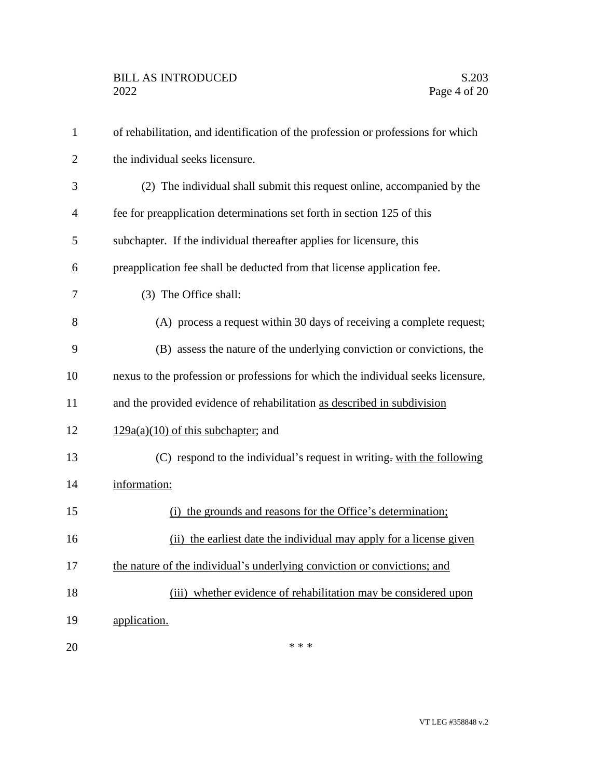| $\mathbf{1}$   | of rehabilitation, and identification of the profession or professions for which |
|----------------|----------------------------------------------------------------------------------|
| $\overline{2}$ | the individual seeks licensure.                                                  |
| 3              | (2) The individual shall submit this request online, accompanied by the          |
| $\overline{4}$ | fee for preapplication determinations set forth in section 125 of this           |
| 5              | subchapter. If the individual thereafter applies for licensure, this             |
| 6              | preapplication fee shall be deducted from that license application fee.          |
| 7              | (3) The Office shall:                                                            |
| 8              | (A) process a request within 30 days of receiving a complete request;            |
| 9              | (B) assess the nature of the underlying conviction or convictions, the           |
| 10             | nexus to the profession or professions for which the individual seeks licensure, |
| 11             | and the provided evidence of rehabilitation as described in subdivision          |
| 12             | $129a(a)(10)$ of this subchapter; and                                            |
| 13             | (C) respond to the individual's request in writing. with the following           |
| 14             | information:                                                                     |
| 15             | the grounds and reasons for the Office's determination;<br>(i)                   |
| 16             | (ii) the earliest date the individual may apply for a license given              |
| 17             | the nature of the individual's underlying conviction or convictions; and         |
| 18             | (iii) whether evidence of rehabilitation may be considered upon                  |
| 19             | application.                                                                     |
| 20             | * * *                                                                            |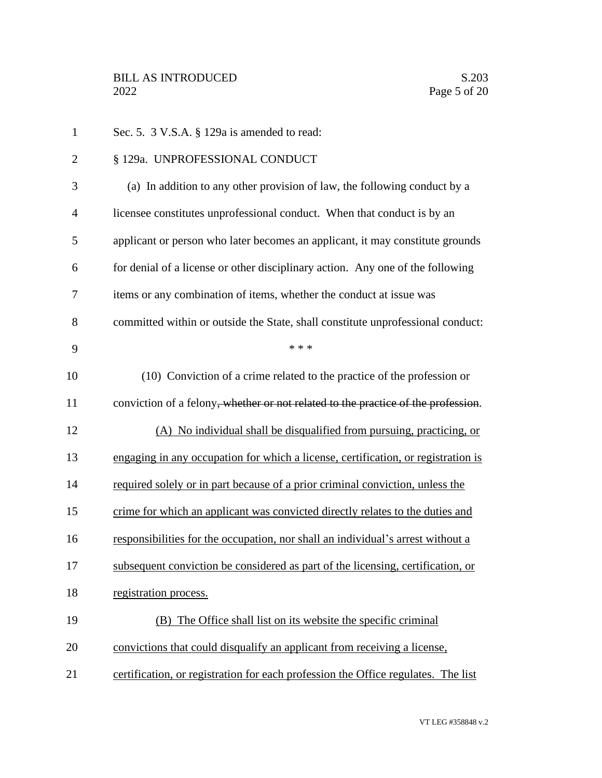| $\mathbf{1}$   | Sec. 5. 3 V.S.A. § 129a is amended to read:                                                    |
|----------------|------------------------------------------------------------------------------------------------|
| $\overline{2}$ | § 129a. UNPROFESSIONAL CONDUCT                                                                 |
| 3              | (a) In addition to any other provision of law, the following conduct by a                      |
| 4              | licensee constitutes unprofessional conduct. When that conduct is by an                        |
| 5              | applicant or person who later becomes an applicant, it may constitute grounds                  |
| 6              | for denial of a license or other disciplinary action. Any one of the following                 |
| 7              | items or any combination of items, whether the conduct at issue was                            |
| 8              | committed within or outside the State, shall constitute unprofessional conduct:                |
| 9              | * * *                                                                                          |
| 10             | (10) Conviction of a crime related to the practice of the profession or                        |
| 11             | conviction of a felony <del>, whether or not related to the practice of the profession</del> . |
| 12             | (A) No individual shall be disqualified from pursuing, practicing, or                          |
| 13             | engaging in any occupation for which a license, certification, or registration is              |
| 14             | required solely or in part because of a prior criminal conviction, unless the                  |
| 15             | crime for which an applicant was convicted directly relates to the duties and                  |
| 16             | responsibilities for the occupation, nor shall an individual's arrest without a                |
| 17             | subsequent conviction be considered as part of the licensing, certification, or                |
| 18             | registration process.                                                                          |
| 19             | (B) The Office shall list on its website the specific criminal                                 |
| 20             | convictions that could disqualify an applicant from receiving a license,                       |
| 21             | certification, or registration for each profession the Office regulates. The list              |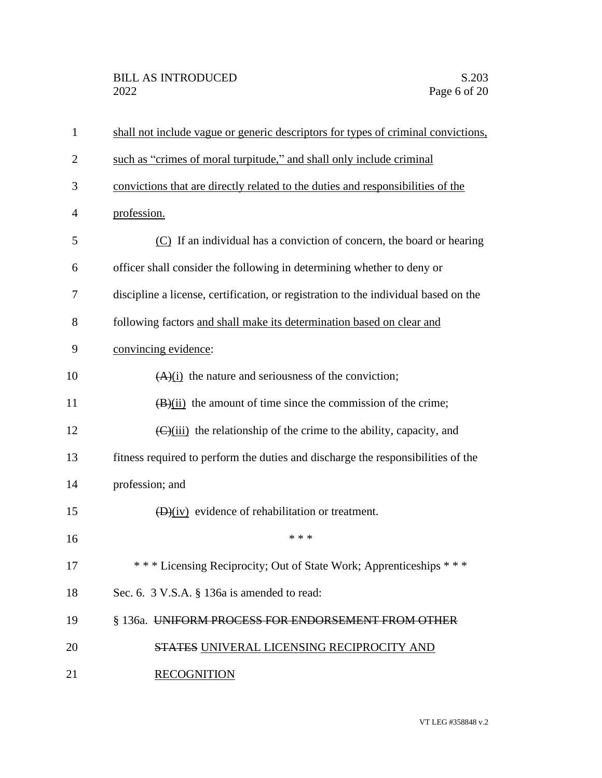| $\mathbf{1}$   | shall not include vague or generic descriptors for types of criminal convictions,              |
|----------------|------------------------------------------------------------------------------------------------|
| $\overline{2}$ | such as "crimes of moral turpitude," and shall only include criminal                           |
| 3              | convictions that are directly related to the duties and responsibilities of the                |
| 4              | profession.                                                                                    |
| 5              | $(C)$ If an individual has a conviction of concern, the board or hearing                       |
| 6              | officer shall consider the following in determining whether to deny or                         |
| 7              | discipline a license, certification, or registration to the individual based on the            |
| 8              | following factors and shall make its determination based on clear and                          |
| 9              | convincing evidence:                                                                           |
| 10             | $(A)(i)$ the nature and seriousness of the conviction;                                         |
| 11             | $(\frac{B}{ii})$ the amount of time since the commission of the crime;                         |
| 12             | $\left(\frac{C}{\text{ii}}\right)$ the relationship of the crime to the ability, capacity, and |
| 13             | fitness required to perform the duties and discharge the responsibilities of the               |
| 14             | profession; and                                                                                |
| 15             | $(D)(iv)$ evidence of rehabilitation or treatment.                                             |
| 16             | * * *                                                                                          |
| 17             | *** Licensing Reciprocity; Out of State Work; Apprenticeships ***                              |
| 18             | Sec. 6. 3 V.S.A. § 136a is amended to read:                                                    |
| 19             | § 136a. UNIFORM PROCESS FOR ENDORSEMENT FROM OTHER                                             |
| 20             | <b>STATES UNIVERAL LICENSING RECIPROCITY AND</b>                                               |
| 21             | <b>RECOGNITION</b>                                                                             |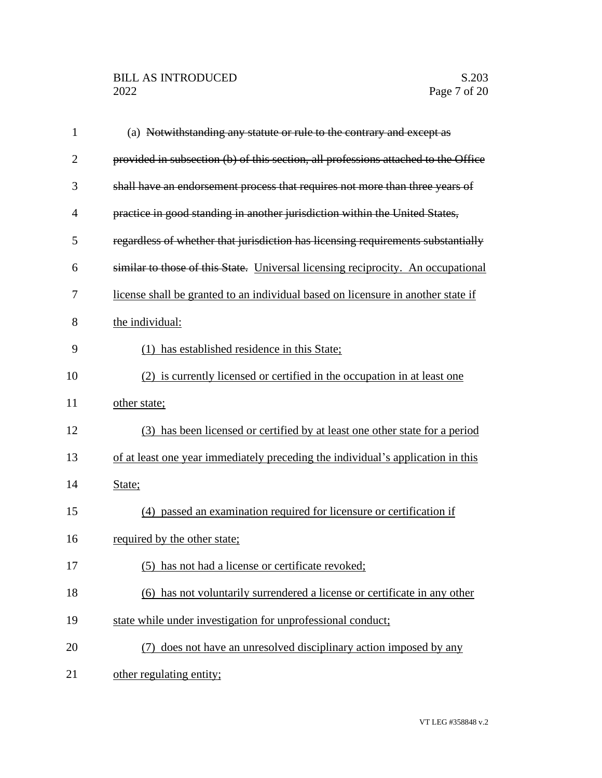| $\mathbf{1}$   | (a) Notwithstanding any statute or rule to the contrary and except as              |
|----------------|------------------------------------------------------------------------------------|
| $\overline{2}$ | provided in subsection (b) of this section, all professions attached to the Office |
| 3              | shall have an endorsement process that requires not more than three years of       |
| 4              | practice in good standing in another jurisdiction within the United States,        |
| 5              | regardless of whether that jurisdiction has licensing requirements substantially   |
| 6              | similar to those of this State. Universal licensing reciprocity. An occupational   |
| 7              | license shall be granted to an individual based on licensure in another state if   |
| 8              | the individual:                                                                    |
| 9              | has established residence in this State;                                           |
| 10             | (2) is currently licensed or certified in the occupation in at least one           |
| 11             | other state;                                                                       |
| 12             | (3) has been licensed or certified by at least one other state for a period        |
| 13             | of at least one year immediately preceding the individual's application in this    |
| 14             | State;                                                                             |
| 15             | (4) passed an examination required for licensure or certification if               |
| 16             | required by the other state;                                                       |
| 17             | (5) has not had a license or certificate revoked;                                  |
| 18             | (6) has not voluntarily surrendered a license or certificate in any other          |
| 19             | state while under investigation for unprofessional conduct;                        |
| 20             | (7) does not have an unresolved disciplinary action imposed by any                 |
| 21             | other regulating entity;                                                           |
|                |                                                                                    |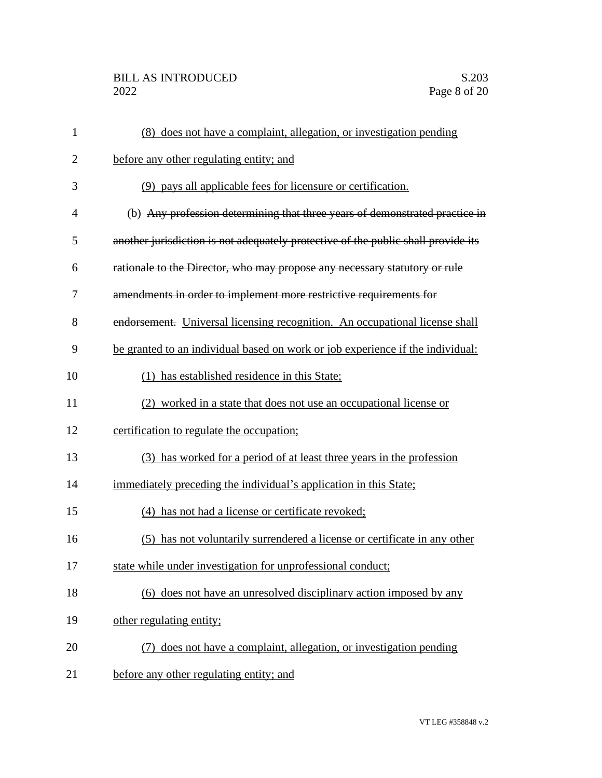## BILL AS INTRODUCED<br>2022 Page 8 of 20

| 1              | (8) does not have a complaint, allegation, or investigation pending               |
|----------------|-----------------------------------------------------------------------------------|
| $\overline{2}$ | before any other regulating entity; and                                           |
| 3              | (9) pays all applicable fees for licensure or certification.                      |
| $\overline{4}$ | (b) Any profession determining that three years of demonstrated practice in       |
| 5              | another jurisdiction is not adequately protective of the public shall provide its |
| 6              | rationale to the Director, who may propose any necessary statutory or rule        |
| 7              | amendments in order to implement more restrictive requirements for                |
| 8              | endorsement. Universal licensing recognition. An occupational license shall       |
| 9              | be granted to an individual based on work or job experience if the individual:    |
| 10             | (1) has established residence in this State;                                      |
| 11             | (2) worked in a state that does not use an occupational license or                |
| 12             | certification to regulate the occupation;                                         |
| 13             | (3) has worked for a period of at least three years in the profession             |
| 14             | immediately preceding the individual's application in this State;                 |
| 15             | (4) has not had a license or certificate revoked;                                 |
| 16             | (5) has not voluntarily surrendered a license or certificate in any other         |
| 17             | state while under investigation for unprofessional conduct;                       |
| 18             | (6) does not have an unresolved disciplinary action imposed by any                |
| 19             | other regulating entity;                                                          |
| 20             | (7) does not have a complaint, allegation, or investigation pending               |
| 21             | before any other regulating entity; and                                           |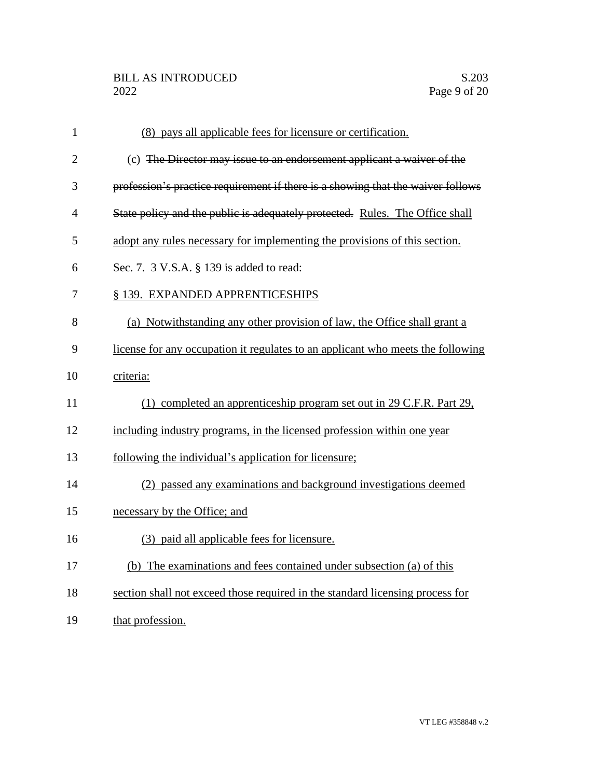| $\mathbf{1}$   | (8) pays all applicable fees for licensure or certification.                    |
|----------------|---------------------------------------------------------------------------------|
| $\overline{2}$ | (c) The Director may issue to an endorsement applicant a waiver of the          |
| 3              | profession's practice requirement if there is a showing that the waiver follows |
| $\overline{4}$ | State policy and the public is adequately protected. Rules. The Office shall    |
| 5              | adopt any rules necessary for implementing the provisions of this section.      |
| 6              | Sec. 7. 3 V.S.A. § 139 is added to read:                                        |
| 7              | § 139. EXPANDED APPRENTICESHIPS                                                 |
| 8              | (a) Notwithstanding any other provision of law, the Office shall grant a        |
| 9              | license for any occupation it regulates to an applicant who meets the following |
| 10             | criteria:                                                                       |
| 11             | (1) completed an apprenticeship program set out in 29 C.F.R. Part 29,           |
| 12             | including industry programs, in the licensed profession within one year         |
| 13             | following the individual's application for licensure;                           |
| 14             | (2) passed any examinations and background investigations deemed                |
| 15             | necessary by the Office; and                                                    |
| 16             | (3) paid all applicable fees for licensure.                                     |
| 17             | (b) The examinations and fees contained under subsection (a) of this            |
| 18             | section shall not exceed those required in the standard licensing process for   |
| 19             | that profession.                                                                |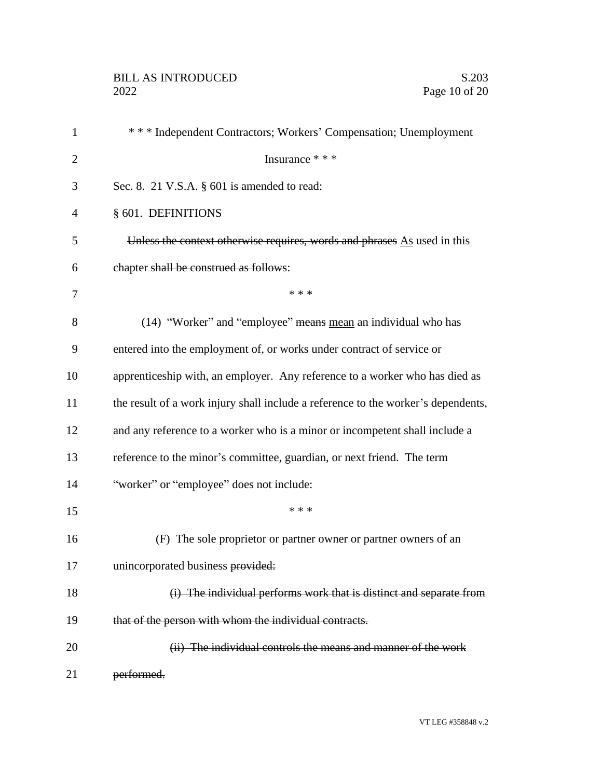| $\mathbf{1}$   | *** Independent Contractors; Workers' Compensation; Unemployment                  |
|----------------|-----------------------------------------------------------------------------------|
| $\overline{2}$ | Insurance * * *                                                                   |
| 3              | Sec. 8. 21 V.S.A. $\S$ 601 is amended to read:                                    |
| $\overline{4}$ | § 601. DEFINITIONS                                                                |
| 5              | Unless the context otherwise requires, words and phrases As used in this          |
| 6              | chapter shall be construed as follows:                                            |
| 7              | * * *                                                                             |
| 8              | (14) "Worker" and "employee" means mean an individual who has                     |
| 9              | entered into the employment of, or works under contract of service or             |
| 10             | apprenticeship with, an employer. Any reference to a worker who has died as       |
| 11             | the result of a work injury shall include a reference to the worker's dependents, |
| 12             | and any reference to a worker who is a minor or incompetent shall include a       |
| 13             | reference to the minor's committee, guardian, or next friend. The term            |
| 14             | "worker" or "employee" does not include:                                          |
| 15             | * * *                                                                             |
| 16             | (F) The sole proprietor or partner owner or partner owners of an                  |
| 17             | unincorporated business provided:                                                 |
| 18             | (i) The individual performs work that is distinct and separate from               |
| 19             | that of the person with whom the individual contracts.                            |
| 20             | (ii) The individual controls the means and manner of the work                     |
| 21             | performed.                                                                        |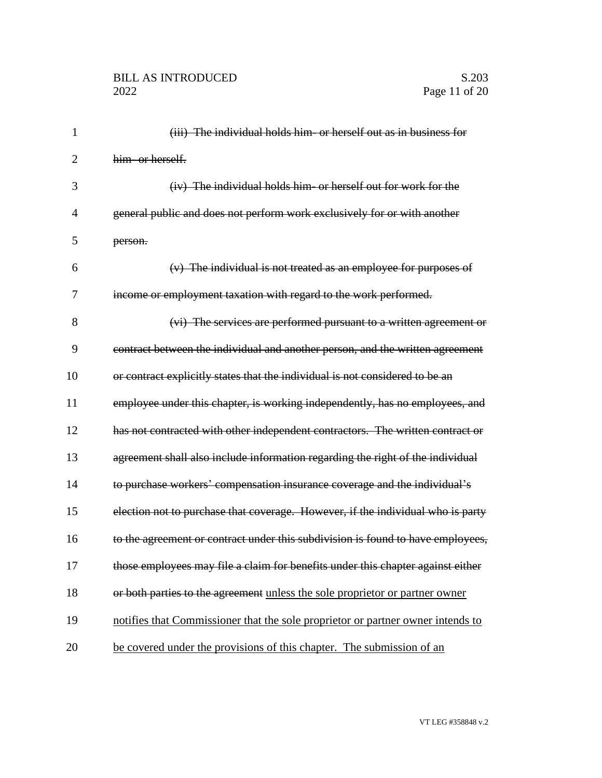| 1              | (iii) The individual holds him- or herself out as in business for               |
|----------------|---------------------------------------------------------------------------------|
| $\overline{2}$ | him- or herself.                                                                |
| 3              | (iv) The individual holds him or herself out for work for the                   |
| $\overline{4}$ | general public and does not perform work exclusively for or with another        |
| 5              | person.                                                                         |
| 6              | $(v)$ The individual is not treated as an employee for purposes of              |
| 7              | income or employment taxation with regard to the work performed.                |
| 8              | (vi) The services are performed pursuant to a written agreement or              |
| 9              | contract between the individual and another person, and the written agreement   |
| 10             | or contract explicitly states that the individual is not considered to be an    |
| 11             | employee under this chapter, is working independently, has no employees, and    |
| 12             | has not contracted with other independent contractors. The written contract or  |
| 13             | agreement shall also include information regarding the right of the individual  |
| 14             | to purchase workers' compensation insurance coverage and the individual's       |
| 15             | election not to purchase that coverage. However, if the individual who is party |
| 16             | to the agreement or contract under this subdivision is found to have employees, |
| 17             | those employees may file a claim for benefits under this chapter against either |
| 18             | or both parties to the agreement unless the sole proprietor or partner owner    |
| 19             | notifies that Commissioner that the sole proprietor or partner owner intends to |
| 20             | be covered under the provisions of this chapter. The submission of an           |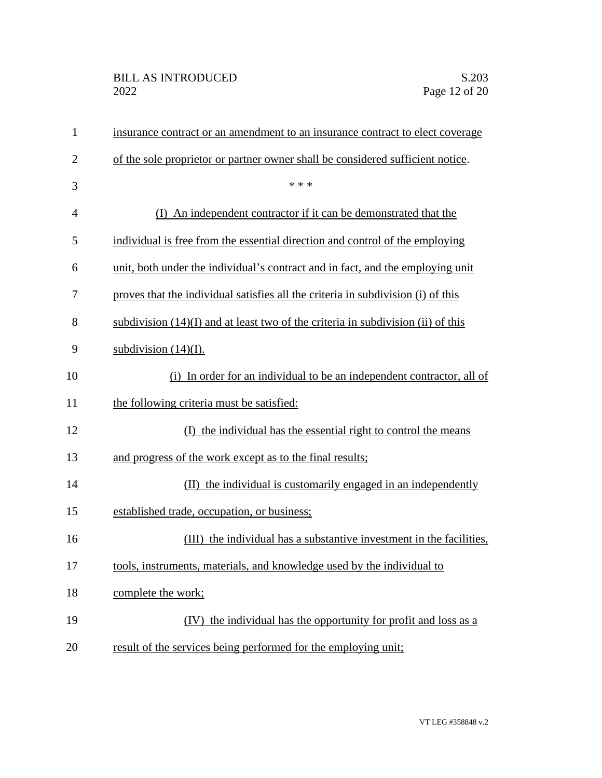| $\mathbf{1}$   | insurance contract or an amendment to an insurance contract to elect coverage      |
|----------------|------------------------------------------------------------------------------------|
| $\overline{2}$ | of the sole proprietor or partner owner shall be considered sufficient notice.     |
| 3              | * * *                                                                              |
| $\overline{4}$ | (I) An independent contractor if it can be demonstrated that the                   |
| 5              | individual is free from the essential direction and control of the employing       |
| 6              | unit, both under the individual's contract and in fact, and the employing unit     |
| 7              | proves that the individual satisfies all the criteria in subdivision (i) of this   |
| 8              | subdivision $(14)(I)$ and at least two of the criteria in subdivision (ii) of this |
| 9              | subdivision $(14)(I)$ .                                                            |
| 10             | (i) In order for an individual to be an independent contractor, all of             |
| 11             | the following criteria must be satisfied:                                          |
| 12             | (I) the individual has the essential right to control the means                    |
| 13             | and progress of the work except as to the final results;                           |
| 14             | (II) the individual is customarily engaged in an independently                     |
| 15             | established trade, occupation, or business;                                        |
| 16             | (III) the individual has a substantive investment in the facilities,               |
| 17             | tools, instruments, materials, and knowledge used by the individual to             |
| 18             | complete the work;                                                                 |
| 19             | (IV) the individual has the opportunity for profit and loss as a                   |
| 20             | result of the services being performed for the employing unit;                     |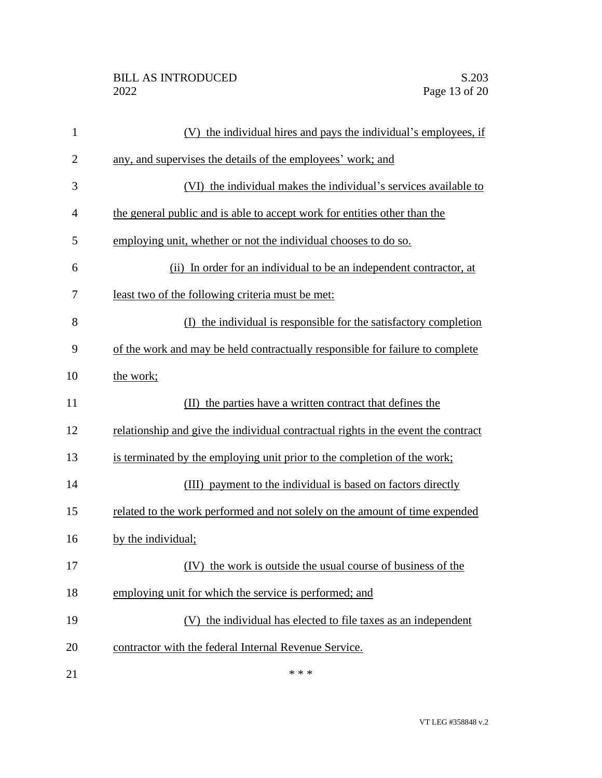| $\mathbf{1}$   | (V) the individual hires and pays the individual's employees, if                  |
|----------------|-----------------------------------------------------------------------------------|
| $\overline{c}$ | any, and supervises the details of the employees' work; and                       |
| 3              | (VI) the individual makes the individual's services available to                  |
| 4              | the general public and is able to accept work for entities other than the         |
| 5              | employing unit, whether or not the individual chooses to do so.                   |
| 6              | (ii) In order for an individual to be an independent contractor, at               |
| 7              | least two of the following criteria must be met:                                  |
| 8              | (I) the individual is responsible for the satisfactory completion                 |
| 9              | of the work and may be held contractually responsible for failure to complete     |
| 10             | the work;                                                                         |
| 11             | (II) the parties have a written contract that defines the                         |
| 12             | relationship and give the individual contractual rights in the event the contract |
| 13             | is terminated by the employing unit prior to the completion of the work;          |
| 14             | (III) payment to the individual is based on factors directly                      |
| 15             | related to the work performed and not solely on the amount of time expended       |
| 16             | by the individual;                                                                |
| 17             | (IV) the work is outside the usual course of business of the                      |
| 18             | employing unit for which the service is performed; and                            |
| 19             | (V) the individual has elected to file taxes as an independent                    |
| 20             | contractor with the federal Internal Revenue Service.                             |
| 21             | * * *                                                                             |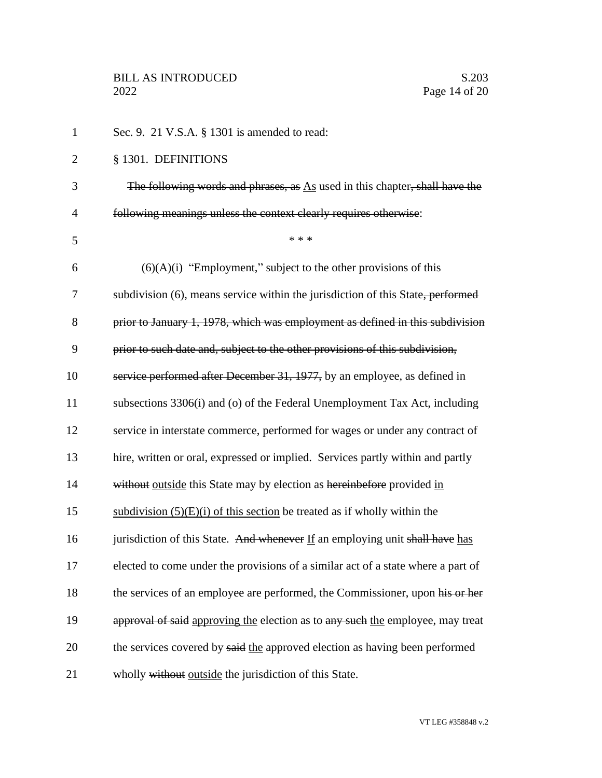1 Sec. 9. 21 V.S.A. § 1301 is amended to read: 2 § 1301. DEFINITIONS 3 The following words and phrases, as As used in this chapter, shall have the 4 following meanings unless the context clearly requires otherwise:  $5$  \* \* \* 6  $(6)(A)(i)$  "Employment," subject to the other provisions of this 7 subdivision (6), means service within the jurisdiction of this State, performed 8 prior to January 1, 1978, which was employment as defined in this subdivision 9 prior to such date and, subject to the other provisions of this subdivision, 10 service performed after December 31, 1977, by an employee, as defined in 11 subsections 3306(i) and (o) of the Federal Unemployment Tax Act, including 12 service in interstate commerce, performed for wages or under any contract of 13 hire, written or oral, expressed or implied. Services partly within and partly 14 without outside this State may by election as hereinbefore provided in 15 subdivision  $(5)(E)(i)$  of this section be treated as if wholly within the 16 jurisdiction of this State. And whenever If an employing unit shall have has 17 elected to come under the provisions of a similar act of a state where a part of 18 the services of an employee are performed, the Commissioner, upon his or her 19 approval of said approving the election as to any such the employee, may treat 20 the services covered by said the approved election as having been performed 21 wholly without outside the jurisdiction of this State.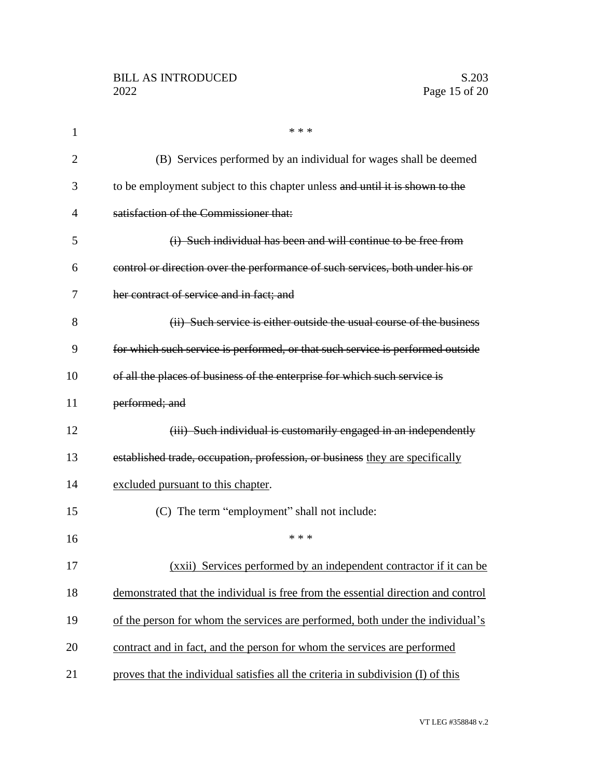| $\mathbf{1}$   | * * *                                                                             |
|----------------|-----------------------------------------------------------------------------------|
| $\overline{2}$ | (B) Services performed by an individual for wages shall be deemed                 |
| 3              | to be employment subject to this chapter unless and until it is shown to the      |
| 4              | satisfaction of the Commissioner that:                                            |
| 5              | (i) Such individual has been and will continue to be free from                    |
| 6              | control or direction over the performance of such services, both under his or     |
| 7              | her contract of service and in fact; and                                          |
| 8              | (ii) Such service is either outside the usual course of the business              |
| 9              | for which such service is performed, or that such service is performed outside    |
| 10             | of all the places of business of the enterprise for which such service is         |
| 11             | performed; and                                                                    |
| 12             | (iii) Such individual is customarily engaged in an independently                  |
| 13             | established trade, occupation, profession, or business they are specifically      |
| 14             | excluded pursuant to this chapter.                                                |
| 15             | (C) The term "employment" shall not include:                                      |
| 16             | * * *                                                                             |
| 17             | (xxii) Services performed by an independent contractor if it can be               |
| 18             | demonstrated that the individual is free from the essential direction and control |
| 19             | of the person for whom the services are performed, both under the individual's    |
| 20             | contract and in fact, and the person for whom the services are performed          |
| 21             | proves that the individual satisfies all the criteria in subdivision (I) of this  |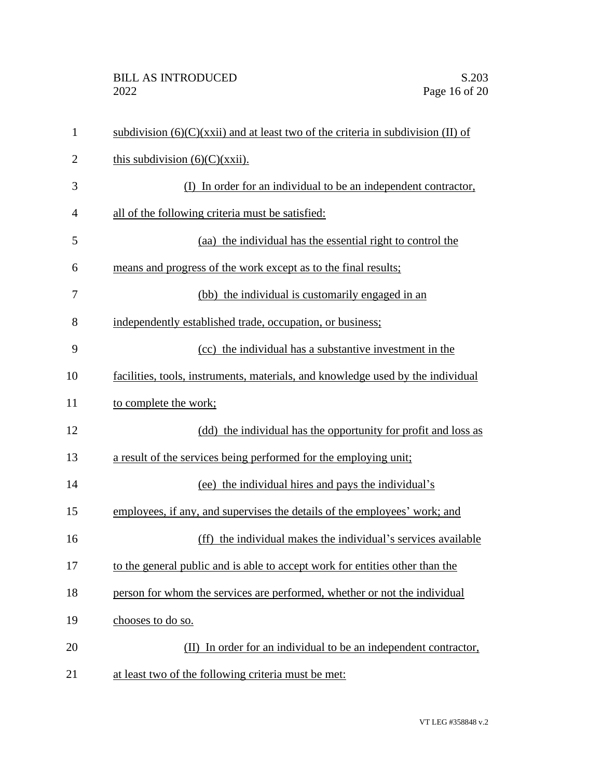| $\mathbf{1}$   | subdivision $(6)(C)(xxii)$ and at least two of the criteria in subdivision (II) of |
|----------------|------------------------------------------------------------------------------------|
| $\overline{2}$ | this subdivision $(6)(C)(xxii)$ .                                                  |
| 3              | (I) In order for an individual to be an independent contractor,                    |
| $\overline{4}$ | all of the following criteria must be satisfied:                                   |
| 5              | (aa) the individual has the essential right to control the                         |
| 6              | means and progress of the work except as to the final results;                     |
| 7              | (bb) the individual is customarily engaged in an                                   |
| 8              | independently established trade, occupation, or business;                          |
| 9              | (cc) the individual has a substantive investment in the                            |
| 10             | facilities, tools, instruments, materials, and knowledge used by the individual    |
| 11             | to complete the work;                                                              |
| 12             | (dd) the individual has the opportunity for profit and loss as                     |
| 13             | a result of the services being performed for the employing unit;                   |
| 14             | (ee) the individual hires and pays the individual's                                |
| 15             | employees, if any, and supervises the details of the employees' work; and          |
| 16             | (ff) the individual makes the individual's services available                      |
| 17             | to the general public and is able to accept work for entities other than the       |
| 18             | person for whom the services are performed, whether or not the individual          |
| 19             | chooses to do so.                                                                  |
| 20             | (II) In order for an individual to be an independent contractor,                   |
| 21             | at least two of the following criteria must be met:                                |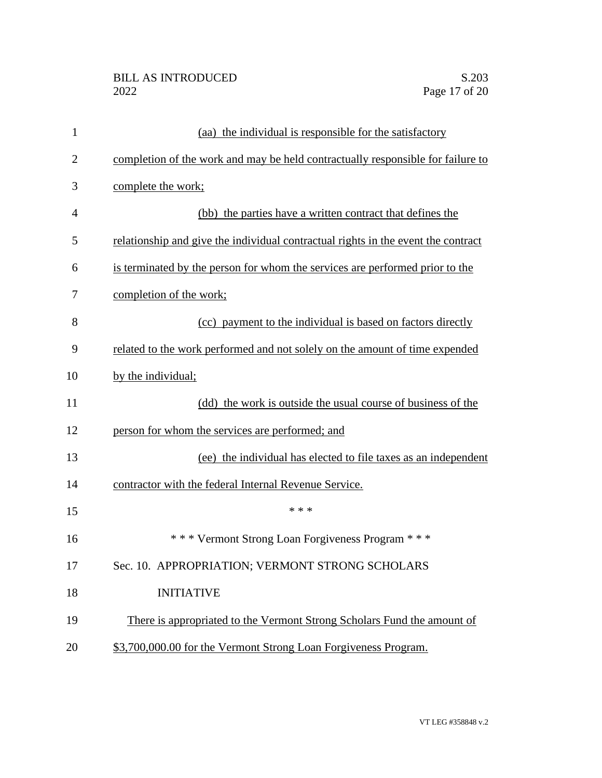| 1              | (aa) the individual is responsible for the satisfactory                           |
|----------------|-----------------------------------------------------------------------------------|
| $\overline{2}$ | completion of the work and may be held contractually responsible for failure to   |
| 3              | complete the work;                                                                |
| $\overline{4}$ | (bb) the parties have a written contract that defines the                         |
| 5              | relationship and give the individual contractual rights in the event the contract |
| 6              | is terminated by the person for whom the services are performed prior to the      |
| 7              | completion of the work;                                                           |
| 8              | (cc) payment to the individual is based on factors directly                       |
| 9              | related to the work performed and not solely on the amount of time expended       |
| 10             | by the individual;                                                                |
| 11             | (dd) the work is outside the usual course of business of the                      |
| 12             | person for whom the services are performed; and                                   |
| 13             | (ee) the individual has elected to file taxes as an independent                   |
| 14             | contractor with the federal Internal Revenue Service.                             |
| 15             | * * *                                                                             |
| 16             | *** Vermont Strong Loan Forgiveness Program ***                                   |
| 17             | Sec. 10. APPROPRIATION; VERMONT STRONG SCHOLARS                                   |
| 18             | <b>INITIATIVE</b>                                                                 |
| 19             | There is appropriated to the Vermont Strong Scholars Fund the amount of           |
| 20             | \$3,700,000.00 for the Vermont Strong Loan Forgiveness Program.                   |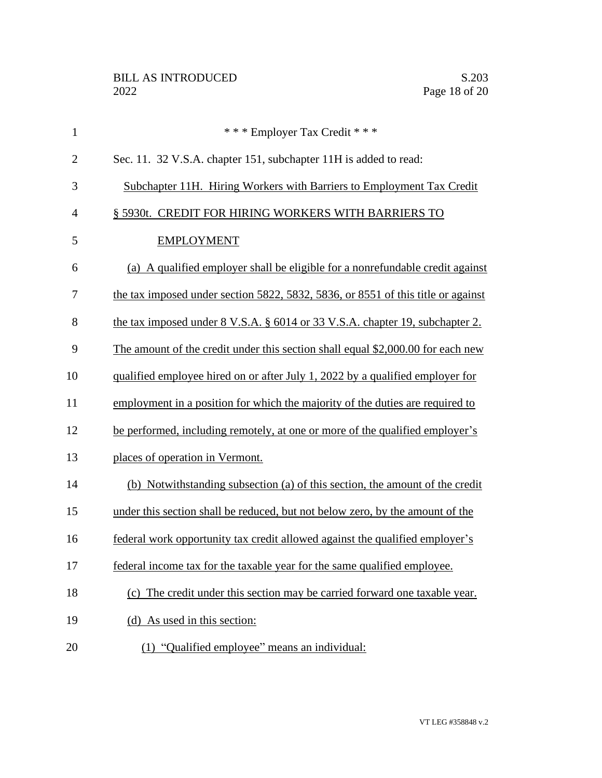| $\mathbf{1}$   | *** Employer Tax Credit ***                                                      |
|----------------|----------------------------------------------------------------------------------|
| $\overline{2}$ | Sec. 11. 32 V.S.A. chapter 151, subchapter 11H is added to read:                 |
| 3              | Subchapter 11H. Hiring Workers with Barriers to Employment Tax Credit            |
| $\overline{4}$ | § 5930t. CREDIT FOR HIRING WORKERS WITH BARRIERS TO                              |
| 5              | <b>EMPLOYMENT</b>                                                                |
| 6              | (a) A qualified employer shall be eligible for a nonrefundable credit against    |
| 7              | the tax imposed under section 5822, 5832, 5836, or 8551 of this title or against |
| 8              | the tax imposed under 8 V.S.A. § 6014 or 33 V.S.A. chapter 19, subchapter 2.     |
| 9              | The amount of the credit under this section shall equal \$2,000.00 for each new  |
| 10             | qualified employee hired on or after July 1, 2022 by a qualified employer for    |
| 11             | employment in a position for which the majority of the duties are required to    |
| 12             | be performed, including remotely, at one or more of the qualified employer's     |
| 13             | places of operation in Vermont.                                                  |
| 14             | (b) Notwithstanding subsection (a) of this section, the amount of the credit     |
| 15             | under this section shall be reduced, but not below zero, by the amount of the    |
| 16             | federal work opportunity tax credit allowed against the qualified employer's     |
| 17             | federal income tax for the taxable year for the same qualified employee.         |
| 18             | (c) The credit under this section may be carried forward one taxable year.       |
| 19             | (d) As used in this section:                                                     |
| 20             | (1) "Qualified employee" means an individual:                                    |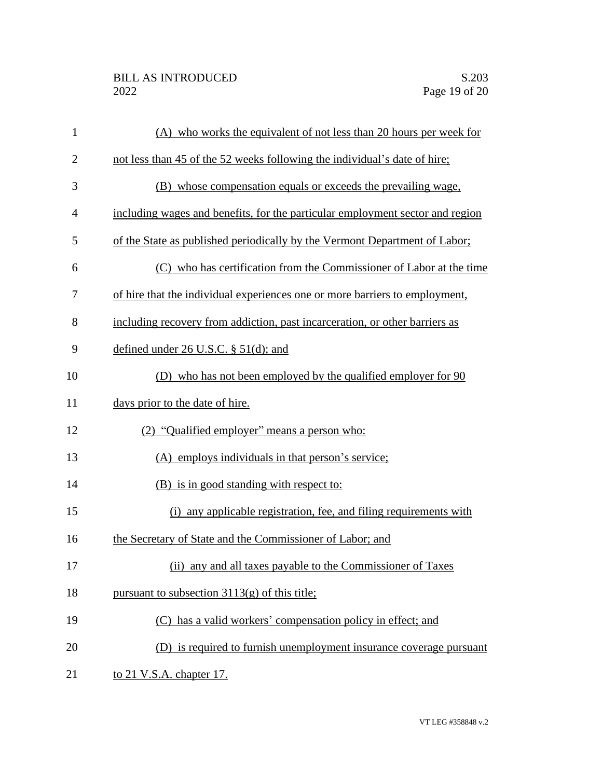| $\mathbf{1}$   | (A) who works the equivalent of not less than 20 hours per week for           |
|----------------|-------------------------------------------------------------------------------|
| $\overline{2}$ | not less than 45 of the 52 weeks following the individual's date of hire;     |
| 3              | (B) whose compensation equals or exceeds the prevailing wage,                 |
| $\overline{4}$ | including wages and benefits, for the particular employment sector and region |
| 5              | of the State as published periodically by the Vermont Department of Labor;    |
| 6              | (C) who has certification from the Commissioner of Labor at the time          |
| 7              | of hire that the individual experiences one or more barriers to employment,   |
| 8              | including recovery from addiction, past incarceration, or other barriers as   |
| 9              | defined under $26$ U.S.C. § $51$ (d); and                                     |
| 10             | (D) who has not been employed by the qualified employer for 90                |
| 11             | days prior to the date of hire.                                               |
| 12             | (2) "Qualified employer" means a person who:                                  |
| 13             | (A) employs individuals in that person's service;                             |
| 14             | (B) is in good standing with respect to:                                      |
| 15             | (i) any applicable registration, fee, and filing requirements with            |
| 16             | the Secretary of State and the Commissioner of Labor; and                     |
| 17             | (ii) any and all taxes payable to the Commissioner of Taxes                   |
| 18             | pursuant to subsection $3113(g)$ of this title;                               |
| 19             | (C) has a valid workers' compensation policy in effect; and                   |
| 20             | (D) is required to furnish unemployment insurance coverage pursuant           |
| 21             | to 21 V.S.A. chapter 17.                                                      |